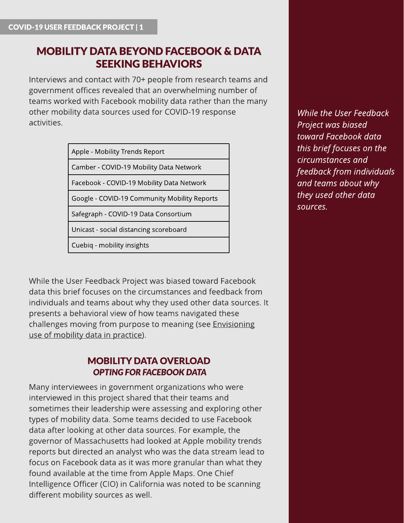# MOBILITY DATA BEYOND FACEBOOK & DATA **SEEKING BEHAVIORS**

Interviews and contact with 70+ people from research teams and government offices revealed that an overwhelming number of teams worked with Facebook mobility data rather than the many other mobility data sources used for COVID-19 response activities.

[Apple](https://covid19.apple.com/mobility) - Mobility Trends Report

[Camber](https://www.covid19mobility.org/) - COVID-19 Mobility Data Network

[Facebook](https://www.covid19mobility.org/) - COVID-19 Mobility Data Network

[Google](https://www.google.com/covid19/mobility/) - COVID-19 Community Mobility Reports

[Safegraph](https://www.safegraph.com/covid-19-data-consortium) - COVID-19 Data Consortium

[Unicast](https://www.unacast.com/covid19/social-distancing-scoreboard) - social distancing scoreboard

[Cuebiq](https://www.cuebiq.com/visitation-insights-covid19/) - mobility insights

While the User Feedback Project was biased toward Facebook data this brief focuses on the circumstances and feedback from individuals and teams about why they used other data sources. It presents a behavioral view of how teams navigated these challenges moving from purpose to meaning (see [Envisioning](https://pub.lucidpress.com/CMDN_UserFdbck_Brief3/) [use](https://pub.lucidpress.com/CMDN_UserFdbck_Brief3/) [of](https://pub.lucidpress.com/CMDN_UserFdbck_Brief3/) [mobility](https://pub.lucidpress.com/CMDN_UserFdbck_Brief3/) [data](https://pub.lucidpress.com/CMDN_UserFdbck_Brief3/) [in](https://pub.lucidpress.com/CMDN_UserFdbck_Brief3/) [practice](https://pub.lucidpress.com/CMDN_UserFdbck_Brief3/)).

#### MOBILITY DATA OVERLOAD **OPTING FOR FACEBOOK DATA**

Many interviewees in government organizations who were interviewed in this project shared that their teams and sometimes their leadership were assessing and exploring other types of mobility data. Some teams decided to use Facebook data after looking at other data sources. For example, the governor of Massachusetts had looked at Apple mobility trends reports but directed an analyst who was the data stream lead to focus on Facebook data as it was more granular than what they found available at the time from Apple Maps. One Chief Intelligence Officer (CIO) in California was noted to be scanning different mobility sources as well.

**While the User Feedback Project** was biased **toward Facebook data thisbrief focuseson the circumstancesand feedback from individuals and teamsabout why they used other data sources.**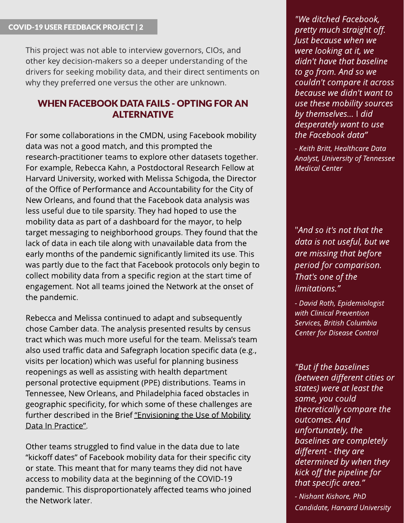This project was not able to interview governors, CIOs, and other key decision-makers so a deeper understanding of the drivers for seeking mobility data, and their direct sentiments on why they preferred one versus the other are unknown.

### WHEN FACEBOOK DATA FAILS - OPTING FOR AN ALTERNATIVE

For some collaborations in the CMDN, using Facebook mobility data was not a good match, and this prompted the research-practitioner teams to explore other datasets together. For example, Rebecca Kahn, a Postdoctoral Research Fellow at Harvard University, worked with Melissa Schigoda, the Director of the Office of Performance and Accountability for the City of New Orleans, and found that the Facebook data analysis was less useful due to tile sparsity. They had hoped to use the mobility data as part of a dashboard for the mayor, to help target messaging to neighborhood groups. They found that the lack of data in each tile along with unavailable data from the early months of the pandemic significantly limited its use. This was partly due to the fact that Facebook protocols only begin to collect mobility data from a specific region at the start time of engagement. Not all teams joined the Network at the onset of the pandemic.

Rebecca and Melissa continued to adapt and subsequently chose Camber data. The analysis presented results by census tract which was much more useful for the team. Melissa?s team also used traffic data and Safegraph location specific data (e.g., visits per location) which was useful for planning business reopenings as well as assisting with health department personal protective equipment (PPE) distributions. Teams in Tennessee, New Orleans, and Philadelphia faced obstacles in geographic specificity, for which some of these challenges are further described in the Brief "[Envisioning](https://pub.lucidpress.com/CMDN_UserFdbck_Brief3/) [the](https://pub.lucidpress.com/CMDN_UserFdbck_Brief3/) [Use](https://pub.lucidpress.com/CMDN_UserFdbck_Brief3/) [of](https://pub.lucidpress.com/CMDN_UserFdbck_Brief3/) [Mobility](https://pub.lucidpress.com/CMDN_UserFdbck_Brief3/) [Data](https://pub.lucidpress.com/CMDN_UserFdbck_Brief3/) [In](https://pub.lucidpress.com/CMDN_UserFdbck_Brief3/) [Practice](https://pub.lucidpress.com/CMDN_UserFdbck_Brief3/)".

Other teams struggled to find value in the data due to late "kickoff dates" of Facebook mobility data for their specific city or state. This meant that for many teams they did not have access to mobility data at the beginning of the COVID-19 pandemic. This disproportionately affected teams who joined the Network later.

**"We ditched Facebook, pretty much straight off. Just because when we were lookingat it, we didn't have that baseline to go from. And so we couldn't compare it across because we didn't want to use these mobility sources by themselves?** I **did desperately want to use the Facebook data?**

**- Keith Britt, Healthcare Data Analyst, University of Tennessee Medical Center**

"**And so it'snot that the data isnot useful, but we are** missing that before **period for comparison. That's one of the limitations.?**

**- David Roth, Epidemiologist with Clinical Prevention Services, British Columbia Center for Disease Control**

**"But if the baselines (between different citiesor states) were at least the same, you could theoretically compare the outcomes. And unfortunately, the baselines are completely different - they are determined by when they kick off the pipeline for that specific area.?**

**- Nishant Kishore, PhD Candidate, Harvard University**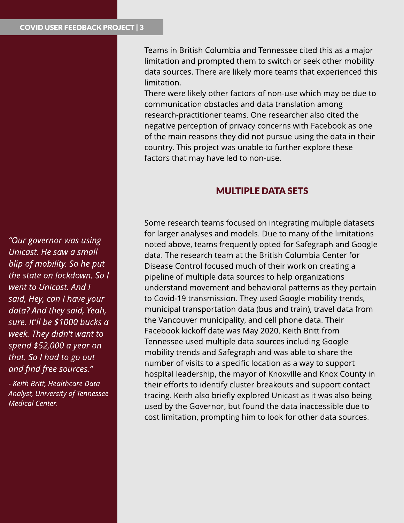**?Our governor wasusing Unicast. He saw a small blip of mobility. So he put the state on lockdown. So I went to Unicast. And I said, Hey, can I have your data?And they said, Yeah, sure. It'll be \$1000 bucksa week. They didn't want to spend \$52,000 a year on that. So I had to go out and find free sources.?**

**- Keith Britt, Healthcare Data Analyst, University of Tennessee Medical Center.**

Teams in British Columbia and Tennessee cited this as a major limitation and prompted them to switch or seek other mobility data sources. There are likely more teams that experienced this limitation.

There were likely other factors of non-use which may be due to communication obstacles and data translation among research-practitioner teams. One researcher also cited the negative perception of privacy concerns with Facebook as one of the main reasons they did not pursue using the data in their country. This project was unable to further explore these factors that may have led to non-use.

## **MULTIPLE DATA SETS**

Some research teams focused on integrating multiple datasets for larger analyses and models. Due to many of the limitations noted above, teams frequently opted for Safegraph and Google data. The research team at the British Columbia Center for Disease Control focused much of their work on creating a pipeline of multiple data sources to help organizations understand movement and behavioral patterns as they pertain to Covid-19 transmission. They used Google mobility trends, municipal transportation data (bus and train), travel data from the Vancouver municipality, and cell phone data. Their Facebook kickoff date was May 2020. Keith Britt from Tennessee used multiple data sources including Google mobility trends and Safegraph and was able to share the number of visits to a specific location as a way to support hospital leadership, the mayor of Knoxville and Knox County in their efforts to identify cluster breakouts and support contact tracing. Keith also briefly explored Unicast as it was also being used by the Governor, but found the data inaccessible due to cost limitation, prompting him to look for other data sources.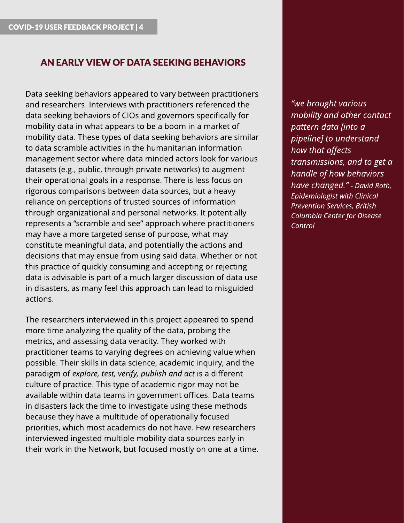### AN EARLY VIEW OF DATA SEEKING BEHAVIORS

Data seeking behaviors appeared to vary between practitioners and researchers. Interviews with practitioners referenced the data seeking behaviors of CIOs and governors specifically for mobility data in what appears to be a boom in a market of mobility data. These types of data seeking behaviors are similar to data scramble activities in the humanitarian information management sector where data minded actors look for various datasets (e.g., public, through private networks) to augment their operational goals in a response. There is less focus on rigorous comparisons between data sources, but a heavy reliance on perceptions of trusted sources of information through organizational and personal networks. It potentially represents a "scramble and see" approach where practitioners may have a more targeted sense of purpose, what may constitute meaningful data, and potentially the actions and decisions that may ensue from using said data. Whether or not this practice of quickly consuming and accepting or rejecting data is advisable is part of a much larger discussion of data use in disasters, as many feel this approach can lead to misguided actions.

The researchers interviewed in this project appeared to spend more time analyzing the quality of the data, probing the metrics, and assessing data veracity. They worked with practitioner teams to varying degrees on achieving value when possible. Their skills in data science, academic inquiry, and the paradigm of **explore, test, verify, publish and act** is a different culture of practice. This type of academic rigor may not be available within data teams in government offices. Data teams in disasters lack the time to investigate using these methods because they have a multitude of operationally focused priorities, which most academics do not have. Few researchers interviewed ingested multiple mobility data sources early in their work in the Network, but focused mostly on one at a time. **?we brought various mobility and other contact pattern data [into a pipeline] to understand how that affects transmissions, and to get a handle of how behaviors have changed.?- David Roth, Epidemiologist with Clinical Prevention Services, British Columbia Center for Disease Control**